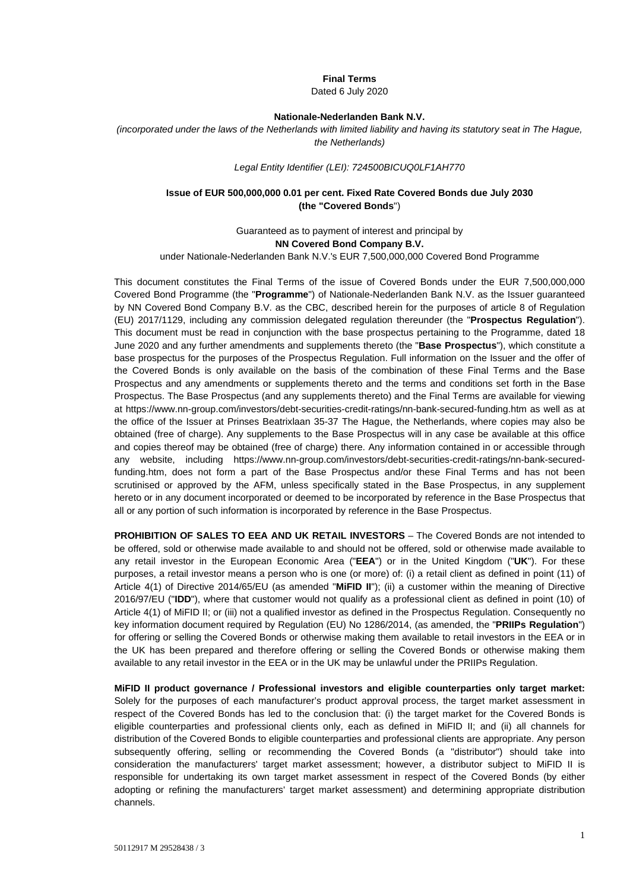#### **Final Terms**

Dated 6 July 2020

#### **Nationale-Nederlanden Bank N.V.**

*(incorporated under the laws of the Netherlands with limited liability and having its statutory seat in The Hague, the Netherlands)*

#### *Legal Entity Identifier (LEI): 724500BICUQ0LF1AH770*

### **Issue of EUR 500,000,000 0.01 per cent. Fixed Rate Covered Bonds due July 2030 (the "Covered Bonds**")

Guaranteed as to payment of interest and principal by **NN Covered Bond Company B.V.**

under Nationale-Nederlanden Bank N.V.'s EUR 7,500,000,000 Covered Bond Programme

This document constitutes the Final Terms of the issue of Covered Bonds under the EUR 7,500,000,000 Covered Bond Programme (the "**Programme**") of Nationale-Nederlanden Bank N.V. as the Issuer guaranteed by NN Covered Bond Company B.V. as the CBC, described herein for the purposes of article 8 of Regulation (EU) 2017/1129, including any commission delegated regulation thereunder (the "**Prospectus Regulation**"). This document must be read in conjunction with the base prospectus pertaining to the Programme, dated 18 June 2020 and any further amendments and supplements thereto (the "**Base Prospectus**"), which constitute a base prospectus for the purposes of the Prospectus Regulation. Full information on the Issuer and the offer of the Covered Bonds is only available on the basis of the combination of these Final Terms and the Base Prospectus and any amendments or supplements thereto and the terms and conditions set forth in the Base Prospectus. The Base Prospectus (and any supplements thereto) and the Final Terms are available for viewing at [https://www.nn-group.com/investors/debt-securities-credit-ratings/nn-bank-secured-funding.htm](https://urldefense.com/v3/__https:/www.nn-group.com/investors/debt-securities-credit-ratings/nn-bank-secured-funding.htm__;!!JMiYFPDqHV3Cgg!GLvIYaKAI8G-QEZgNAMmwHuFUMzYGGPITBU3ju8y3B7fbcQNjeRcMKRe-PJU2dmyxLq5St3X$) as well as at the office of the Issuer at Prinses Beatrixlaan 35-37 The Hague, the Netherlands, where copies may also be obtained (free of charge). Any supplements to the Base Prospectus will in any case be available at this office and copies thereof may be obtained (free of charge) there. Any information contained in or accessible through any website, including [https://www.nn-group.com/investors/debt-securities-credit-ratings/nn-bank-secured](https://urldefense.com/v3/__https:/www.nn-group.com/investors/debt-securities-credit-ratings/nn-bank-secured-funding.htm__;!!JMiYFPDqHV3Cgg!GLvIYaKAI8G-QEZgNAMmwHuFUMzYGGPITBU3ju8y3B7fbcQNjeRcMKRe-PJU2dmyxLq5St3X$)[funding.htm,](https://urldefense.com/v3/__https:/www.nn-group.com/investors/debt-securities-credit-ratings/nn-bank-secured-funding.htm__;!!JMiYFPDqHV3Cgg!GLvIYaKAI8G-QEZgNAMmwHuFUMzYGGPITBU3ju8y3B7fbcQNjeRcMKRe-PJU2dmyxLq5St3X$) does not form a part of the Base Prospectus and/or these Final Terms and has not been scrutinised or approved by the AFM, unless specifically stated in the Base Prospectus, in any supplement hereto or in any document incorporated or deemed to be incorporated by reference in the Base Prospectus that all or any portion of such information is incorporated by reference in the Base Prospectus.

**PROHIBITION OF SALES TO EEA AND UK RETAIL INVESTORS** – The Covered Bonds are not intended to be offered, sold or otherwise made available to and should not be offered, sold or otherwise made available to any retail investor in the European Economic Area ("**EEA**") or in the United Kingdom ("**UK**"). For these purposes, a retail investor means a person who is one (or more) of: (i) a retail client as defined in point (11) of Article 4(1) of Directive 2014/65/EU (as amended "**MiFID II**"); (ii) a customer within the meaning of Directive 2016/97/EU ("**IDD**"), where that customer would not qualify as a professional client as defined in point (10) of Article 4(1) of MiFID II; or (iii) not a qualified investor as defined in the Prospectus Regulation. Consequently no key information document required by Regulation (EU) No 1286/2014, (as amended, the "**PRIIPs Regulation**") for offering or selling the Covered Bonds or otherwise making them available to retail investors in the EEA or in the UK has been prepared and therefore offering or selling the Covered Bonds or otherwise making them available to any retail investor in the EEA or in the UK may be unlawful under the PRIIPs Regulation.

**MiFID II product governance / Professional investors and eligible counterparties only target market:**  Solely for the purposes of each manufacturer's product approval process, the target market assessment in respect of the Covered Bonds has led to the conclusion that: (i) the target market for the Covered Bonds is eligible counterparties and professional clients only, each as defined in MiFID II; and (ii) all channels for distribution of the Covered Bonds to eligible counterparties and professional clients are appropriate. Any person subsequently offering, selling or recommending the Covered Bonds (a "distributor") should take into consideration the manufacturers' target market assessment; however, a distributor subject to MiFID II is responsible for undertaking its own target market assessment in respect of the Covered Bonds (by either adopting or refining the manufacturers' target market assessment) and determining appropriate distribution channels.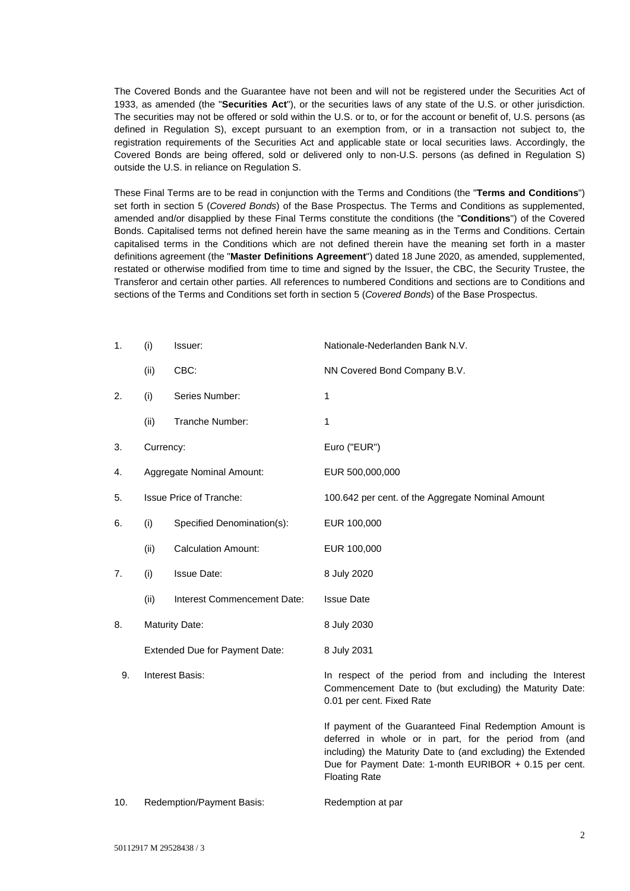The Covered Bonds and the Guarantee have not been and will not be registered under the Securities Act of 1933, as amended (the "**Securities Act**"), or the securities laws of any state of the U.S. or other jurisdiction. The securities may not be offered or sold within the U.S. or to, or for the account or benefit of, U.S. persons (as defined in Regulation S), except pursuant to an exemption from, or in a transaction not subject to, the registration requirements of the Securities Act and applicable state or local securities laws. Accordingly, the Covered Bonds are being offered, sold or delivered only to non-U.S. persons (as defined in Regulation S) outside the U.S. in reliance on Regulation S.

These Final Terms are to be read in conjunction with the Terms and Conditions (the "**Terms and Conditions**") set forth in section 5 (*Covered Bonds*) of the Base Prospectus. The Terms and Conditions as supplemented, amended and/or disapplied by these Final Terms constitute the conditions (the "**Conditions**") of the Covered Bonds. Capitalised terms not defined herein have the same meaning as in the Terms and Conditions. Certain capitalised terms in the Conditions which are not defined therein have the meaning set forth in a master definitions agreement (the "**Master Definitions Agreement**") dated 18 June 2020, as amended, supplemented, restated or otherwise modified from time to time and signed by the Issuer, the CBC, the Security Trustee, the Transferor and certain other parties. All references to numbered Conditions and sections are to Conditions and sections of the Terms and Conditions set forth in section 5 (*Covered Bonds*) of the Base Prospectus.

| 1.  | (i)                                   | Issuer:                        | Nationale-Nederlanden Bank N.V.                                                                                                                                                                                                                                     |
|-----|---------------------------------------|--------------------------------|---------------------------------------------------------------------------------------------------------------------------------------------------------------------------------------------------------------------------------------------------------------------|
|     | (ii)                                  | CBC:                           | NN Covered Bond Company B.V.                                                                                                                                                                                                                                        |
| 2.  | (i)                                   | Series Number:                 | 1                                                                                                                                                                                                                                                                   |
|     | (ii)                                  | Tranche Number:                | 1                                                                                                                                                                                                                                                                   |
| 3.  | Currency:                             |                                | Euro ("EUR")                                                                                                                                                                                                                                                        |
| 4.  | Aggregate Nominal Amount:             |                                | EUR 500,000,000                                                                                                                                                                                                                                                     |
| 5.  |                                       | <b>Issue Price of Tranche:</b> | 100.642 per cent. of the Aggregate Nominal Amount                                                                                                                                                                                                                   |
| 6.  | (i)                                   | Specified Denomination(s):     | EUR 100,000                                                                                                                                                                                                                                                         |
|     | (ii)                                  | <b>Calculation Amount:</b>     | EUR 100,000                                                                                                                                                                                                                                                         |
| 7.  | (i)                                   | <b>Issue Date:</b>             | 8 July 2020                                                                                                                                                                                                                                                         |
|     | (ii)                                  | Interest Commencement Date:    | <b>Issue Date</b>                                                                                                                                                                                                                                                   |
| 8.  | <b>Maturity Date:</b>                 |                                | 8 July 2030                                                                                                                                                                                                                                                         |
|     | <b>Extended Due for Payment Date:</b> |                                | 8 July 2031                                                                                                                                                                                                                                                         |
| 9.  | <b>Interest Basis:</b>                |                                | In respect of the period from and including the Interest<br>Commencement Date to (but excluding) the Maturity Date:<br>0.01 per cent. Fixed Rate                                                                                                                    |
|     |                                       |                                | If payment of the Guaranteed Final Redemption Amount is<br>deferred in whole or in part, for the period from (and<br>including) the Maturity Date to (and excluding) the Extended<br>Due for Payment Date: 1-month EURIBOR + 0.15 per cent.<br><b>Floating Rate</b> |
| 10. |                                       | Redemption/Payment Basis:      | Redemption at par                                                                                                                                                                                                                                                   |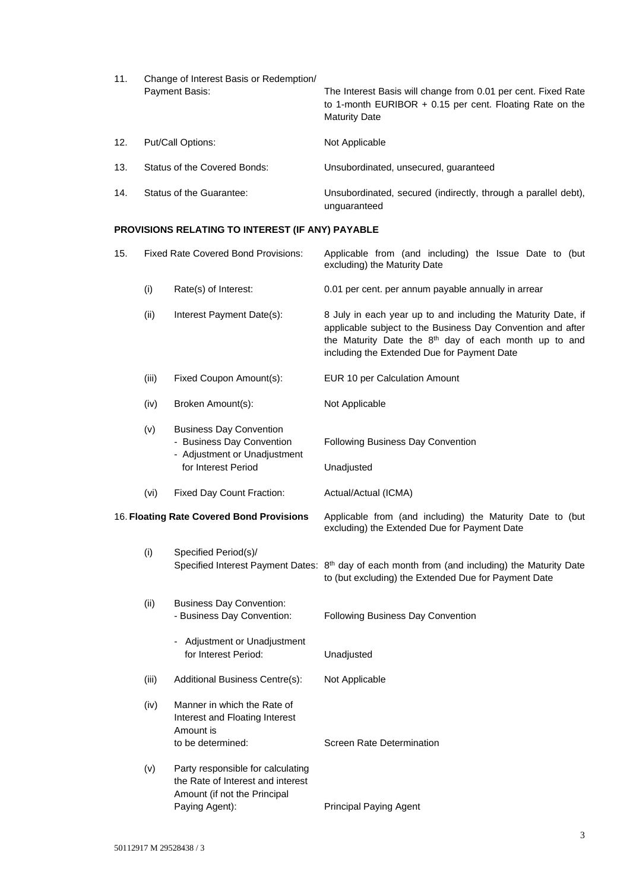| 11. | Change of Interest Basis or Redemption/ |                                                                                                                                                     |  |
|-----|-----------------------------------------|-----------------------------------------------------------------------------------------------------------------------------------------------------|--|
|     | Payment Basis:                          | The Interest Basis will change from 0.01 per cent. Fixed Rate<br>to 1-month EURIBOR $+$ 0.15 per cent. Floating Rate on the<br><b>Maturity Date</b> |  |
| 12. | Put/Call Options:                       | Not Applicable                                                                                                                                      |  |
| 13. | Status of the Covered Bonds:            | Unsubordinated, unsecured, quaranteed                                                                                                               |  |
| 14. | Status of the Guarantee:                | Unsubordinated, secured (indirectly, through a parallel debt),<br>unguaranteed                                                                      |  |

# **PROVISIONS RELATING TO INTEREST (IF ANY) PAYABLE**

| 15.                                       |       | <b>Fixed Rate Covered Bond Provisions:</b>                                                                               | Applicable from (and including) the Issue Date to (but<br>excluding) the Maturity Date                                                                                                                                                           |
|-------------------------------------------|-------|--------------------------------------------------------------------------------------------------------------------------|--------------------------------------------------------------------------------------------------------------------------------------------------------------------------------------------------------------------------------------------------|
|                                           | (i)   | Rate(s) of Interest:                                                                                                     | 0.01 per cent. per annum payable annually in arrear                                                                                                                                                                                              |
|                                           | (ii)  | Interest Payment Date(s):                                                                                                | 8 July in each year up to and including the Maturity Date, if<br>applicable subject to the Business Day Convention and after<br>the Maturity Date the 8 <sup>th</sup> day of each month up to and<br>including the Extended Due for Payment Date |
|                                           | (iii) | Fixed Coupon Amount(s):                                                                                                  | EUR 10 per Calculation Amount                                                                                                                                                                                                                    |
|                                           | (iv)  | Broken Amount(s):                                                                                                        | Not Applicable                                                                                                                                                                                                                                   |
|                                           | (v)   | <b>Business Day Convention</b><br>- Business Day Convention<br>- Adjustment or Unadjustment<br>for Interest Period       | Following Business Day Convention<br>Unadjusted                                                                                                                                                                                                  |
|                                           | (vi)  | Fixed Day Count Fraction:                                                                                                | Actual/Actual (ICMA)                                                                                                                                                                                                                             |
| 16. Floating Rate Covered Bond Provisions |       |                                                                                                                          | Applicable from (and including) the Maturity Date to (but<br>excluding) the Extended Due for Payment Date                                                                                                                                        |
|                                           | (i)   | Specified Period(s)/                                                                                                     | Specified Interest Payment Dates: 8 <sup>th</sup> day of each month from (and including) the Maturity Date<br>to (but excluding) the Extended Due for Payment Date                                                                               |
|                                           | (ii)  | <b>Business Day Convention:</b><br>- Business Day Convention:                                                            | Following Business Day Convention                                                                                                                                                                                                                |
|                                           |       | - Adjustment or Unadjustment<br>for Interest Period:                                                                     | Unadjusted                                                                                                                                                                                                                                       |
|                                           | (iii) | Additional Business Centre(s):                                                                                           | Not Applicable                                                                                                                                                                                                                                   |
|                                           | (iv)  | Manner in which the Rate of<br>Interest and Floating Interest<br>Amount is<br>to be determined:                          | <b>Screen Rate Determination</b>                                                                                                                                                                                                                 |
|                                           | (v)   | Party responsible for calculating<br>the Rate of Interest and interest<br>Amount (if not the Principal<br>Paying Agent): | Principal Paying Agent                                                                                                                                                                                                                           |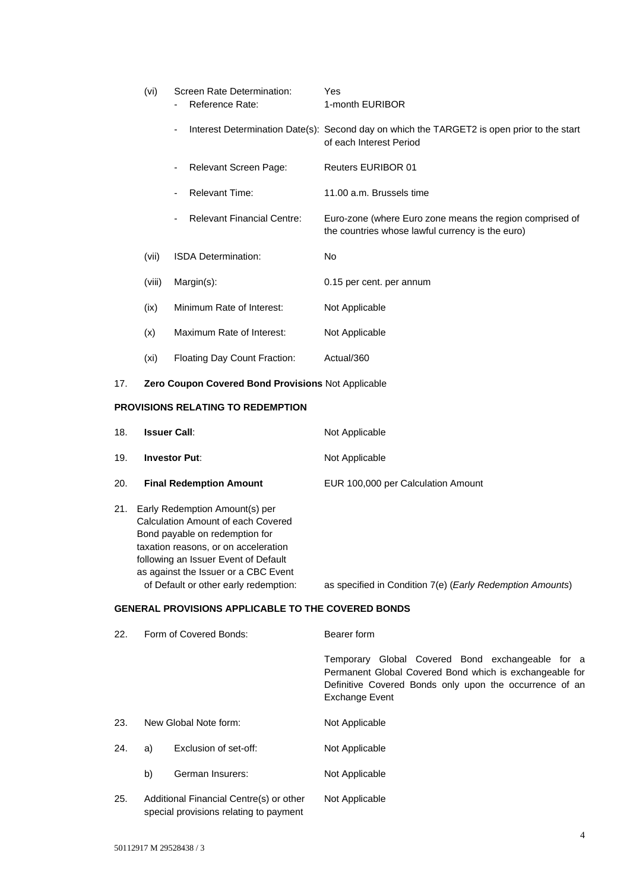| (vi)   | Screen Rate Determination:<br>Reference Rate: | Yes<br>1-month EURIBOR                                                                                                |
|--------|-----------------------------------------------|-----------------------------------------------------------------------------------------------------------------------|
|        | ٠                                             | Interest Determination Date(s): Second day on which the TARGET2 is open prior to the start<br>of each Interest Period |
|        | Relevant Screen Page:                         | <b>Reuters EURIBOR 01</b>                                                                                             |
|        | <b>Relevant Time:</b>                         | 11.00 a.m. Brussels time                                                                                              |
|        | <b>Relevant Financial Centre:</b>             | Euro-zone (where Euro zone means the region comprised of<br>the countries whose lawful currency is the euro)          |
| (vii)  | <b>ISDA Determination:</b>                    | N <sub>o</sub>                                                                                                        |
| (viii) | $Margin(s)$ :                                 | 0.15 per cent. per annum                                                                                              |
| (ix)   | Minimum Rate of Interest:                     | Not Applicable                                                                                                        |
| (x)    | Maximum Rate of Interest:                     | Not Applicable                                                                                                        |
| (xi)   | Floating Day Count Fraction:                  | Actual/360                                                                                                            |
|        |                                               |                                                                                                                       |

# 17. **Zero Coupon Covered Bond Provisions** Not Applicable

### **PROVISIONS RELATING TO REDEMPTION**

| 18. | <b>Issuer Call:</b>                                                                                                                                                                                                            | Not Applicable                     |
|-----|--------------------------------------------------------------------------------------------------------------------------------------------------------------------------------------------------------------------------------|------------------------------------|
| 19. | <b>Investor Put:</b>                                                                                                                                                                                                           | Not Applicable                     |
| 20. | <b>Final Redemption Amount</b>                                                                                                                                                                                                 | EUR 100,000 per Calculation Amount |
| 21. | Early Redemption Amount(s) per<br>Calculation Amount of each Covered<br>Bond payable on redemption for<br>taxation reasons, or on acceleration<br>following an Issuer Event of Default<br>as against the Issuer or a CBC Event |                                    |

of Default or other early redemption: as specified in Condition 7(e) (*Early Redemption Amounts*)

## **GENERAL PROVISIONS APPLICABLE TO THE COVERED BONDS**

| 22. | Form of Covered Bonds:                                                            |                       | Bearer form                                                                                                                                                                                     |  |
|-----|-----------------------------------------------------------------------------------|-----------------------|-------------------------------------------------------------------------------------------------------------------------------------------------------------------------------------------------|--|
|     |                                                                                   |                       | Temporary Global Covered Bond exchangeable for a<br>Permanent Global Covered Bond which is exchangeable for<br>Definitive Covered Bonds only upon the occurrence of an<br><b>Exchange Event</b> |  |
| 23. | New Global Note form:                                                             |                       | Not Applicable                                                                                                                                                                                  |  |
| 24. | a)                                                                                | Exclusion of set-off: | Not Applicable                                                                                                                                                                                  |  |
|     | b)                                                                                | German Insurers:      | Not Applicable                                                                                                                                                                                  |  |
| 25. | Additional Financial Centre(s) or other<br>special provisions relating to payment |                       | Not Applicable                                                                                                                                                                                  |  |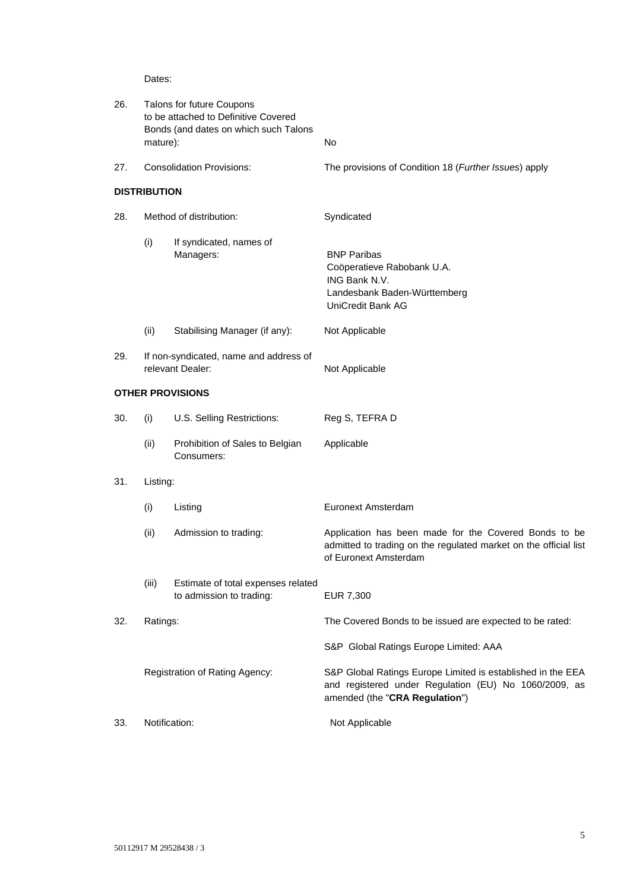Dates:

| 26. | Talons for future Coupons<br>to be attached to Definitive Covered<br>Bonds (and dates on which such Talons<br>mature): |                                                                | No                                                                                                                                                     |
|-----|------------------------------------------------------------------------------------------------------------------------|----------------------------------------------------------------|--------------------------------------------------------------------------------------------------------------------------------------------------------|
| 27. |                                                                                                                        | <b>Consolidation Provisions:</b>                               | The provisions of Condition 18 (Further Issues) apply                                                                                                  |
|     | <b>DISTRIBUTION</b>                                                                                                    |                                                                |                                                                                                                                                        |
| 28. | Method of distribution:                                                                                                |                                                                | Syndicated                                                                                                                                             |
|     | (i)                                                                                                                    | If syndicated, names of<br>Managers:                           | <b>BNP Paribas</b><br>Coöperatieve Rabobank U.A.<br>ING Bank N.V.<br>Landesbank Baden-Württemberg<br>UniCredit Bank AG                                 |
|     | (ii)                                                                                                                   | Stabilising Manager (if any):                                  | Not Applicable                                                                                                                                         |
| 29. |                                                                                                                        | If non-syndicated, name and address of<br>relevant Dealer:     | Not Applicable                                                                                                                                         |
|     |                                                                                                                        | <b>OTHER PROVISIONS</b>                                        |                                                                                                                                                        |
| 30. | (i)                                                                                                                    | U.S. Selling Restrictions:                                     | Reg S, TEFRA D                                                                                                                                         |
|     | (ii)                                                                                                                   | Prohibition of Sales to Belgian<br>Consumers:                  | Applicable                                                                                                                                             |
| 31. | Listing:                                                                                                               |                                                                |                                                                                                                                                        |
|     | (i)                                                                                                                    | Listing                                                        | Euronext Amsterdam                                                                                                                                     |
|     | (ii)                                                                                                                   | Admission to trading:                                          | Application has been made for the Covered Bonds to be<br>admitted to trading on the regulated market on the official list<br>of Euronext Amsterdam     |
|     | (iii)                                                                                                                  | Estimate of total expenses related<br>to admission to trading: | EUR 7,300                                                                                                                                              |
| 32. | Ratings:                                                                                                               |                                                                | The Covered Bonds to be issued are expected to be rated:                                                                                               |
|     |                                                                                                                        |                                                                | S&P Global Ratings Europe Limited: AAA                                                                                                                 |
|     |                                                                                                                        | Registration of Rating Agency:                                 | S&P Global Ratings Europe Limited is established in the EEA<br>and registered under Regulation (EU) No 1060/2009, as<br>amended (the "CRA Regulation") |
| 33. | Notification:                                                                                                          |                                                                | Not Applicable                                                                                                                                         |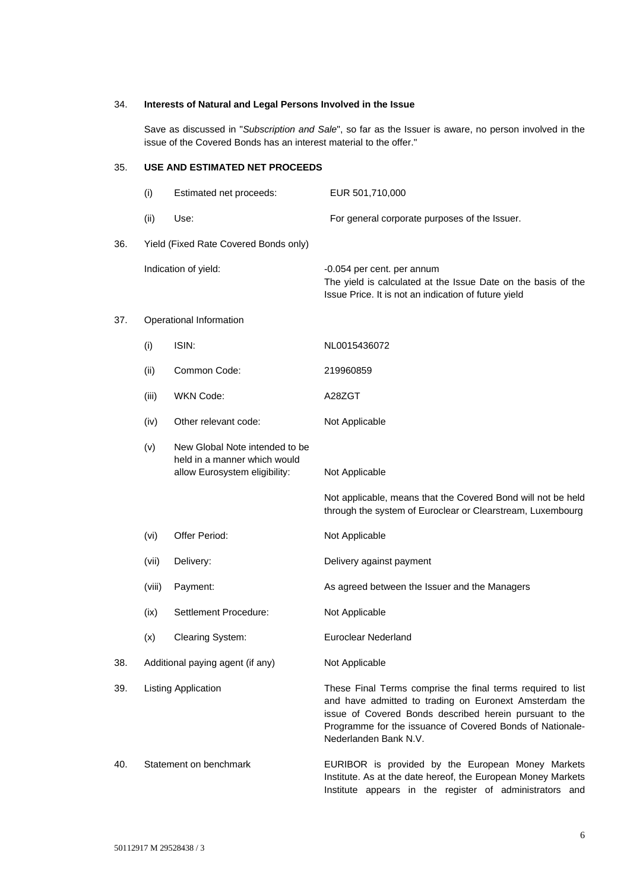### 34. **Interests of Natural and Legal Persons Involved in the Issue**

Save as discussed in "*Subscription and Sale*", so far as the Issuer is aware, no person involved in the issue of the Covered Bonds has an interest material to the offer."

## 35. **USE AND ESTIMATED NET PROCEEDS**

|     | (i)                              | Estimated net proceeds:                                                                         | EUR 501,710,000                                                                                                                                                                                                                                                        |  |
|-----|----------------------------------|-------------------------------------------------------------------------------------------------|------------------------------------------------------------------------------------------------------------------------------------------------------------------------------------------------------------------------------------------------------------------------|--|
|     | (ii)                             | Use:                                                                                            | For general corporate purposes of the Issuer.                                                                                                                                                                                                                          |  |
| 36. |                                  | Yield (Fixed Rate Covered Bonds only)                                                           |                                                                                                                                                                                                                                                                        |  |
|     |                                  | Indication of yield:                                                                            | -0.054 per cent. per annum<br>The yield is calculated at the Issue Date on the basis of the<br>Issue Price. It is not an indication of future yield                                                                                                                    |  |
| 37. |                                  | Operational Information                                                                         |                                                                                                                                                                                                                                                                        |  |
|     | (i)                              | ISIN:                                                                                           | NL0015436072                                                                                                                                                                                                                                                           |  |
|     | (ii)                             | Common Code:                                                                                    | 219960859                                                                                                                                                                                                                                                              |  |
|     | (iii)                            | WKN Code:                                                                                       | A28ZGT                                                                                                                                                                                                                                                                 |  |
|     | (iv)                             | Other relevant code:                                                                            | Not Applicable                                                                                                                                                                                                                                                         |  |
|     | (v)                              | New Global Note intended to be<br>held in a manner which would<br>allow Eurosystem eligibility: | Not Applicable                                                                                                                                                                                                                                                         |  |
|     |                                  |                                                                                                 | Not applicable, means that the Covered Bond will not be held<br>through the system of Euroclear or Clearstream, Luxembourg                                                                                                                                             |  |
|     | (vi)                             | Offer Period:                                                                                   | Not Applicable                                                                                                                                                                                                                                                         |  |
|     | (vii)                            | Delivery:                                                                                       | Delivery against payment                                                                                                                                                                                                                                               |  |
|     | (viii)                           | Payment:                                                                                        | As agreed between the Issuer and the Managers                                                                                                                                                                                                                          |  |
|     | (ix)                             | Settlement Procedure:                                                                           | Not Applicable                                                                                                                                                                                                                                                         |  |
|     | (x)                              | <b>Clearing System:</b>                                                                         | <b>Euroclear Nederland</b>                                                                                                                                                                                                                                             |  |
| 38. | Additional paying agent (if any) |                                                                                                 | Not Applicable                                                                                                                                                                                                                                                         |  |
| 39. | <b>Listing Application</b>       |                                                                                                 | These Final Terms comprise the final terms required to list<br>and have admitted to trading on Euronext Amsterdam the<br>issue of Covered Bonds described herein pursuant to the<br>Programme for the issuance of Covered Bonds of Nationale-<br>Nederlanden Bank N.V. |  |
| 40. | Statement on benchmark           |                                                                                                 | EURIBOR is provided by the European Money Markets<br>Institute. As at the date hereof, the European Money Markets                                                                                                                                                      |  |

Institute appears in the register of administrators and